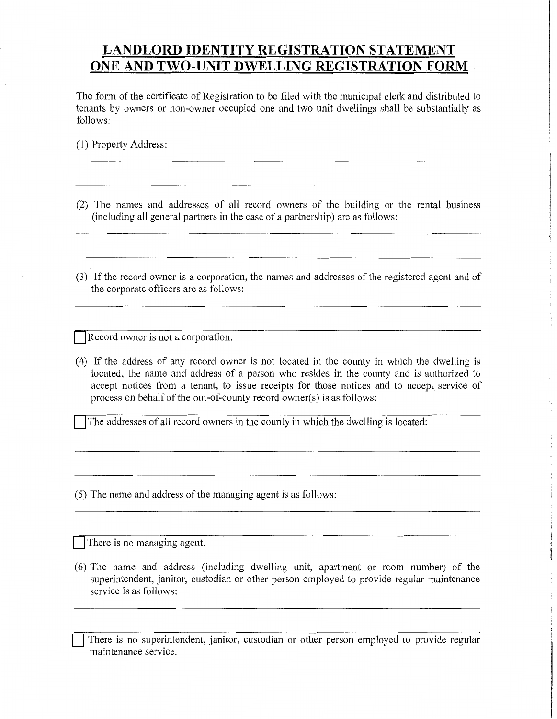## **LANDLORD IDENTITY REGISTRATION STATEMENT ONE AND TWO-UNIT DWELLING REGISTRATION FORM**

The form of the certificate of Registration to be filed with the municipal clerk and distributed to tenants by owners or non-owner occupied one and two unit dwellings shall be substantially as follows:

(1) Property Address:

(2) The names and addresses of all record owners of the building or the rental business (including all general partners in the case of a partnership) are as follows:

\_\_\_\_\_\_\_\_\_\_\_\_\_\_\_\_\_\_\_\_\_\_\_\_\_\_\_\_\_\_\_\_\_\_\_\_\_\_\_\_\_\_\_\_\_\_\_\_\_\_\_\_\_\_\_\_\_\_\_\_\_\_\_\_\_\_\_\_\_\_\_\_\_

(3) If the record owner is a corporation, the names and addresses of the registered agent and of the corporate officers are as follows:

Record owner is not a corporation.

- (4) If the address of any record owner is not located in the county in which the dwelling is located, the name and address of a person who resides in the county and is authorized to accept notices from a tenant, to issue receipts for those notices and to accept service of process on behalf of the out-of-county record owner(s) is as follows:
	- The addresses of all record owners in the county in which the dwelling is located:

(5) The name and address of the managing agent is as follows:

There is no managing agent.

- (6) The name and address (including dwelling unit, apartment or room number) of the superintendent, janitor, custodian or other person employed to provide regular maintenance service is as follows:
	- There is no superintendent, janitor, custodian or other person employed to provide regular maintenance service.